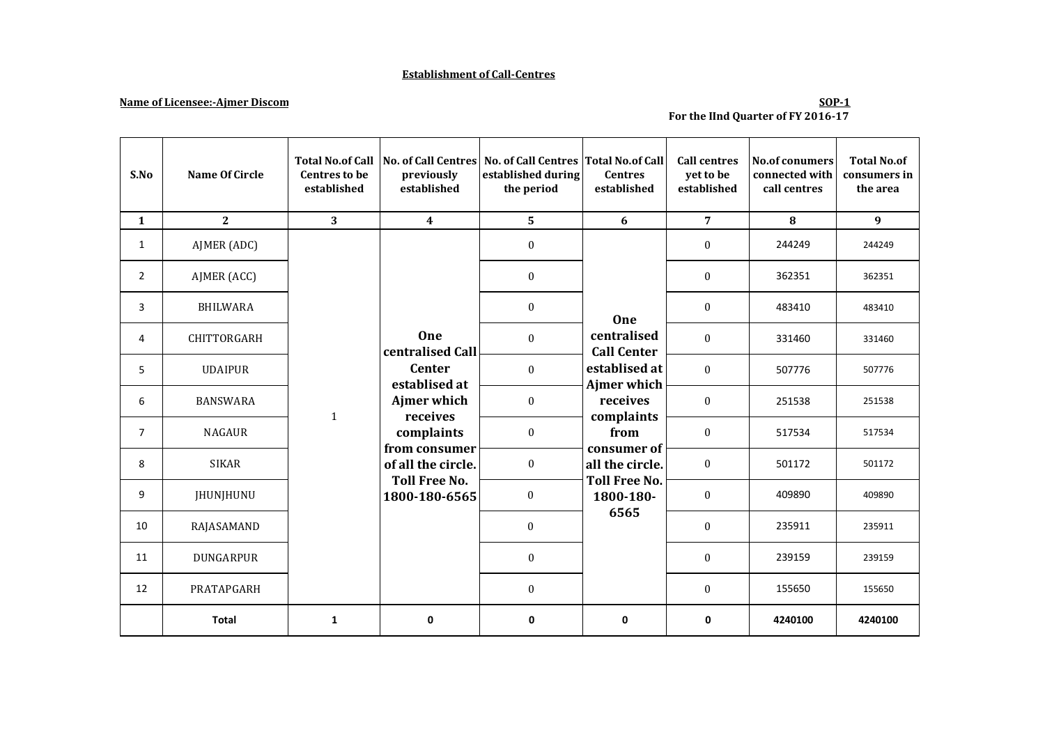### **Establishment of Call-Centres**

## **Name of Licensee:-Ajmer Discom**

### **SOP-1 For the IInd Quarter of FY 2016-17**

| S.No           | Name Of Circle     | <b>Total No.of Call</b><br><b>Centres to be</b><br>established | previously<br>established                                                                                                                        | No. of Call Centres   No. of Call Centres   Total No. of Call<br>established during<br>the period | <b>Centres</b><br>established                                                        | <b>Call centres</b><br>yet to be<br>established | <b>No.of conumers</b><br>connected with<br>call centres | <b>Total No.of</b><br>consumers in<br>the area |
|----------------|--------------------|----------------------------------------------------------------|--------------------------------------------------------------------------------------------------------------------------------------------------|---------------------------------------------------------------------------------------------------|--------------------------------------------------------------------------------------|-------------------------------------------------|---------------------------------------------------------|------------------------------------------------|
| $\mathbf{1}$   | $\overline{2}$     | 3 <sup>1</sup>                                                 | $\overline{\mathbf{4}}$                                                                                                                          | 5                                                                                                 | 6                                                                                    | $\overline{7}$                                  | 8                                                       | 9                                              |
| 1              | AJMER (ADC)        |                                                                | <b>One</b><br>centralised Call<br><b>Center</b><br>establised at<br>Ajmer which<br>receives<br>complaints<br>from consumer<br>of all the circle. | $\bf{0}$                                                                                          | One<br>centralised<br><b>Call Center</b><br>establised at<br>Ajmer which<br>receives | $\mathbf{0}$                                    | 244249                                                  | 244249                                         |
| $\overline{2}$ | AJMER (ACC)        |                                                                |                                                                                                                                                  | $\boldsymbol{0}$                                                                                  |                                                                                      | $\mathbf{0}$                                    | 362351                                                  | 362351                                         |
| 3              | <b>BHILWARA</b>    |                                                                |                                                                                                                                                  | $\boldsymbol{0}$                                                                                  |                                                                                      | $\mathbf{0}$                                    | 483410                                                  | 483410                                         |
| 4              | <b>CHITTORGARH</b> |                                                                |                                                                                                                                                  | $\mathbf{0}$                                                                                      |                                                                                      | $\theta$                                        | 331460                                                  | 331460                                         |
| 5              | <b>UDAIPUR</b>     |                                                                |                                                                                                                                                  | $\boldsymbol{0}$                                                                                  |                                                                                      | $\Omega$                                        | 507776                                                  | 507776                                         |
| 6              | <b>BANSWARA</b>    | $\mathbf{1}$                                                   |                                                                                                                                                  | $\mathbf{0}$                                                                                      |                                                                                      | $\mathbf{0}$                                    | 251538                                                  | 251538                                         |
| $\overline{7}$ | <b>NAGAUR</b>      |                                                                |                                                                                                                                                  | $\boldsymbol{0}$<br>consumer of<br>$\boldsymbol{0}$                                               | complaints<br>from                                                                   | $\boldsymbol{0}$                                | 517534                                                  | 517534                                         |
| 8              | <b>SIKAR</b>       |                                                                |                                                                                                                                                  |                                                                                                   | all the circle.                                                                      | $\boldsymbol{0}$                                | 501172                                                  | 501172                                         |
| 9              | <b>JHUNJHUNU</b>   |                                                                | <b>Toll Free No.</b><br>1800-180-6565                                                                                                            | $\bf{0}$                                                                                          | <b>Toll Free No.</b><br>1800-180-                                                    | $\boldsymbol{0}$                                | 409890                                                  | 409890                                         |
| 10             | RAJASAMAND         |                                                                |                                                                                                                                                  | $\mathbf{0}$                                                                                      | 6565                                                                                 | $\mathbf{0}$                                    | 235911                                                  | 235911                                         |
| 11             | <b>DUNGARPUR</b>   |                                                                |                                                                                                                                                  | $\mathbf{0}$                                                                                      |                                                                                      | $\mathbf{0}$                                    | 239159                                                  | 239159                                         |
| 12             | PRATAPGARH         |                                                                |                                                                                                                                                  | $\boldsymbol{0}$                                                                                  |                                                                                      | $\boldsymbol{0}$                                | 155650                                                  | 155650                                         |
|                | <b>Total</b>       | $\mathbf{1}$                                                   | 0                                                                                                                                                | $\mathbf 0$                                                                                       | 0                                                                                    | 0                                               | 4240100                                                 | 4240100                                        |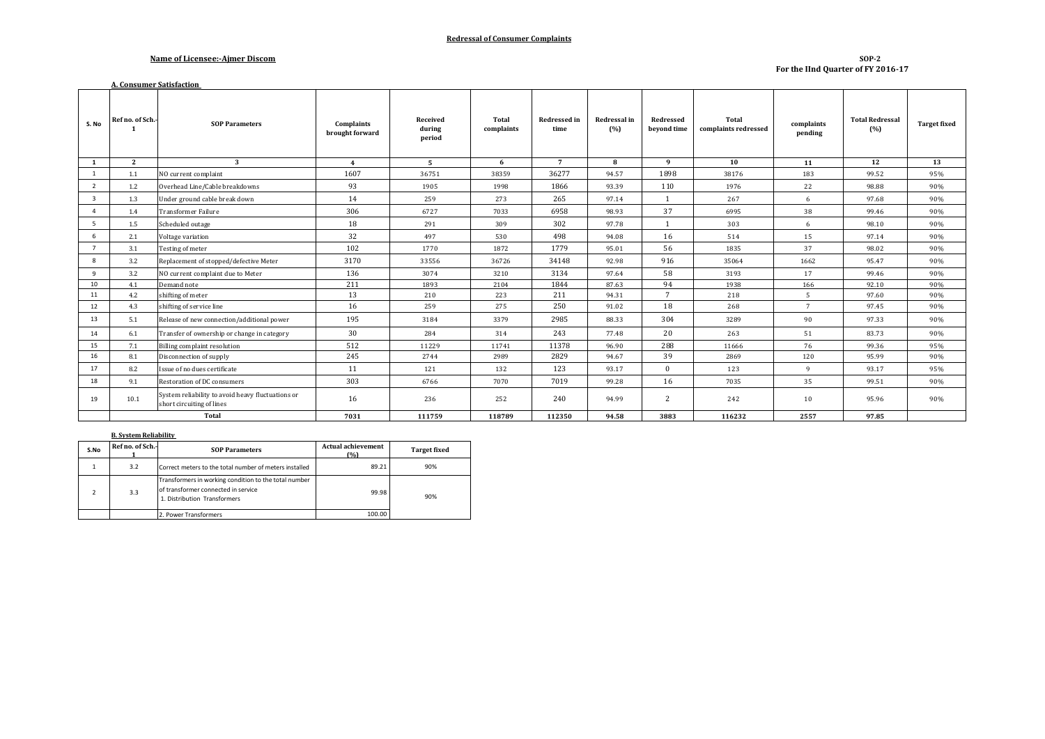#### **Redressal of Consumer Complaints**

#### **Name of Licensee:-Ajmer Discom**

**A. Consumer Satisfaction** 

#### **SOP-2 For the IInd Quarter of FY 2016-17**

| S. No                   | Ref no. of Sch.- | <b>SOP Parameters</b>                                                          | <b>Complaints</b><br>brought forward | Received<br>during<br>period | Total<br>complaints | <b>Redressed in</b><br>time | Redressal in<br>(%) | Redressed<br>beyond time | Total<br>complaints redressed | complaints<br>pending | <b>Total Redressal</b><br>(%) | <b>Target fixed</b> |
|-------------------------|------------------|--------------------------------------------------------------------------------|--------------------------------------|------------------------------|---------------------|-----------------------------|---------------------|--------------------------|-------------------------------|-----------------------|-------------------------------|---------------------|
| 1                       | $\mathbf{2}$     | 3                                                                              | $\overline{4}$                       | - 5                          | 6                   | $7\phantom{.0}$             | 8                   | 9                        | 10                            | 11                    | 12                            | 13                  |
| <sup>1</sup>            | 1.1              | NO current complaint                                                           | 1607                                 | 36751                        | 38359               | 36277                       | 94.57               | 1898                     | 38176                         | 183                   | 99.52                         | 95%                 |
| $\overline{2}$          | 1.2              | Overhead Line/Cable breakdowns                                                 | 93                                   | 1905                         | 1998                | 1866                        | 93.39               | 110                      | 1976                          | 22                    | 98.88                         | 90%                 |
| $\overline{\mathbf{3}}$ | 1.3              | Under ground cable break down                                                  | 14                                   | 259                          | 273                 | 265                         | 97.14               | $\mathbf{1}$             | 267                           | 6                     | 97.68                         | 90%                 |
| $\overline{4}$          | 1.4              | <b>Transformer Failure</b>                                                     | 306                                  | 6727                         | 7033                | 6958                        | 98.93               | 37                       | 6995                          | 38                    | 99.46                         | 90%                 |
| -5                      | 1.5              | Scheduled outage                                                               | 18                                   | 291                          | 309                 | 302                         | 97.78               |                          | 303                           | 6                     | 98.10                         | 90%                 |
| 6                       | 2.1              | Voltage variation                                                              | 32                                   | 497                          | 530                 | 498                         | 94.08               | 16                       | 514                           | 15                    | 97.14                         | 90%                 |
| $7^{\circ}$             | 3.1              | Testing of meter                                                               | 102                                  | 1770                         | 1872                | 1779                        | 95.01               | 56                       | 1835                          | 37                    | 98.02                         | 90%                 |
| 8                       | 3.2              | Replacement of stopped/defective Meter                                         | 3170                                 | 33556                        | 36726               | 34148                       | 92.98               | 916                      | 35064                         | 1662                  | 95.47                         | 90%                 |
| 9                       | 3.2              | NO current complaint due to Meter                                              | 136                                  | 3074                         | 3210                | 3134                        | 97.64               | 58                       | 3193                          | 17                    | 99.46                         | 90%                 |
| 10                      | 4.1              | Demand note                                                                    | 211                                  | 1893                         | 2104                | 1844                        | 87.63               | 94                       | 1938                          | 166                   | 92.10                         | 90%                 |
| 11                      | 4.2              | shifting of meter                                                              | 13                                   | 210                          | 223                 | 211                         | 94.31               | $7\phantom{.0}$          | 218                           | -5                    | 97.60                         | 90%                 |
| 12                      | 4.3              | shifting of service line                                                       | 16                                   | 259                          | 275                 | 250                         | 91.02               | 18                       | 268                           | $7\overline{ }$       | 97.45                         | 90%                 |
| 13                      | 5.1              | Release of new connection/additional power                                     | 195                                  | 3184                         | 3379                | 2985                        | 88.33               | 304                      | 3289                          | 90                    | 97.33                         | 90%                 |
| 14                      | 6.1              | Transfer of ownership or change in category                                    | 30                                   | 284                          | 314                 | 243                         | 77.48               | 20                       | 263                           | 51                    | 83.73                         | 90%                 |
| 15                      | 7.1              | Billing complaint resolution                                                   | 512                                  | 11229                        | 11741               | 11378                       | 96.90               | 288                      | 11666                         | 76                    | 99.36                         | 95%                 |
| 16                      | 8.1              | Disconnection of supply                                                        | 245                                  | 2744                         | 2989                | 2829                        | 94.67               | 39                       | 2869                          | 120                   | 95.99                         | 90%                 |
| 17                      | 8.2              | Issue of no dues certificate                                                   | 11                                   | 121                          | 132                 | 123                         | 93.17               | $\Omega$                 | 123                           | $\mathbf{q}$          | 93.17                         | 95%                 |
| 18                      | 9.1              | Restoration of DC consumers                                                    | 303                                  | 6766                         | 7070                | 7019                        | 99.28               | 16                       | 7035                          | 35                    | 99.51                         | 90%                 |
| 19                      | 10.1             | System reliability to avoid heavy fluctuations or<br>short circuiting of lines | 16                                   | 236                          | 252                 | 240                         | 94.99               | 2                        | 242                           | 10                    | 95.96                         | 90%                 |
|                         | <b>Total</b>     |                                                                                | 7031                                 | 111759                       | 118789              | 112350                      | 94.58               | 3883                     | 116232                        | 2557                  | 97.85                         |                     |

#### **B. System Reliability**

| S.No | Ref no. of Sch.- | <b>SOP Parameters</b>                                                                                                        | <b>Actual achievement</b><br>(9) | <b>Target fixed</b> |  |
|------|------------------|------------------------------------------------------------------------------------------------------------------------------|----------------------------------|---------------------|--|
|      | 3.2              | Correct meters to the total number of meters installed                                                                       | 89.21                            | 90%                 |  |
|      | 3.3              | Transformers in working condition to the total number<br>of transformer connected in service<br>1. Distribution Transformers | 99.98                            | 90%                 |  |
|      |                  | 2. Power Transformers                                                                                                        | 100.00                           |                     |  |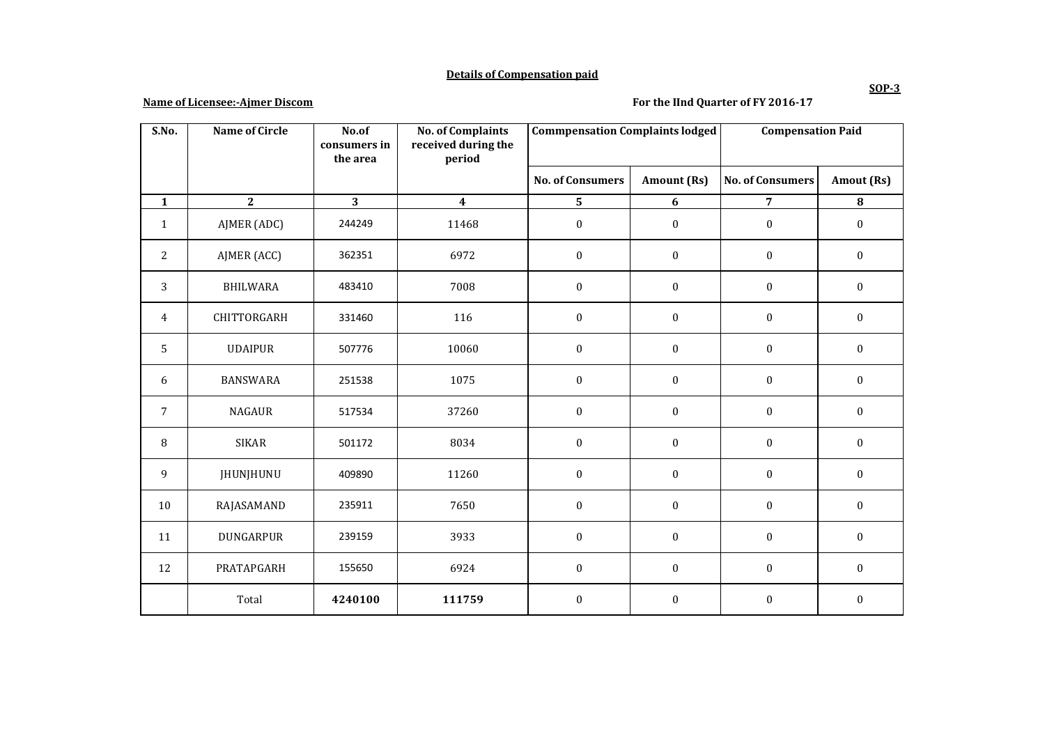### **Details of Compensation paid**

## **Name of Licensee:-Ajmer Discom**

## **For the IInd Quarter of FY 2016-17**

| S.No.          | <b>Name of Circle</b> | No.of<br>consumers in | <b>No. of Complaints</b><br>received during the | <b>Commpensation Complaints lodged</b> |                  | <b>Compensation Paid</b> |                  |
|----------------|-----------------------|-----------------------|-------------------------------------------------|----------------------------------------|------------------|--------------------------|------------------|
|                |                       | the area              | period                                          |                                        |                  |                          |                  |
|                |                       |                       |                                                 | <b>No. of Consumers</b>                | Amount (Rs)      | <b>No. of Consumers</b>  | Amout (Rs)       |
| $\mathbf{1}$   | $\overline{2}$        | 3                     | $\boldsymbol{4}$                                | 5                                      | 6                | $\overline{7}$           | $\bf{8}$         |
| $\mathbf{1}$   | AJMER (ADC)           | 244249                | 11468                                           | $\boldsymbol{0}$                       | $\boldsymbol{0}$ | $\boldsymbol{0}$         | $\boldsymbol{0}$ |
| $\overline{c}$ | AJMER (ACC)           | 362351                | 6972                                            | $\boldsymbol{0}$                       | $\boldsymbol{0}$ | $\boldsymbol{0}$         | $\boldsymbol{0}$ |
| 3              | <b>BHILWARA</b>       | 483410                | 7008                                            | $\boldsymbol{0}$                       | $\boldsymbol{0}$ | $\boldsymbol{0}$         | $\boldsymbol{0}$ |
| 4              | CHITTORGARH           | 331460                | 116                                             | $\boldsymbol{0}$                       | $\boldsymbol{0}$ | $\boldsymbol{0}$         | $\boldsymbol{0}$ |
| 5              | <b>UDAIPUR</b>        | 507776                | 10060                                           | $\boldsymbol{0}$                       | $\boldsymbol{0}$ | $\boldsymbol{0}$         | $\boldsymbol{0}$ |
| 6              | <b>BANSWARA</b>       | 251538                | 1075                                            | $\boldsymbol{0}$                       | $\boldsymbol{0}$ | $\boldsymbol{0}$         | $\boldsymbol{0}$ |
| $\sqrt{ }$     | <b>NAGAUR</b>         | 517534                | 37260                                           | $\boldsymbol{0}$                       | $\boldsymbol{0}$ | $\boldsymbol{0}$         | $\boldsymbol{0}$ |
| 8              | <b>SIKAR</b>          | 501172                | 8034                                            | $\boldsymbol{0}$                       | $\mathbf{0}$     | $\boldsymbol{0}$         | $\mathbf{0}$     |
| 9              | JHUNJHUNU             | 409890                | 11260                                           | $\boldsymbol{0}$                       | $\boldsymbol{0}$ | $\boldsymbol{0}$         | $\boldsymbol{0}$ |
| 10             | RAJASAMAND            | 235911                | 7650                                            | $\boldsymbol{0}$                       | $\boldsymbol{0}$ | $\boldsymbol{0}$         | $\boldsymbol{0}$ |
| 11             | DUNGARPUR             | 239159                | 3933                                            | $\boldsymbol{0}$                       | $\boldsymbol{0}$ | $\boldsymbol{0}$         | $\boldsymbol{0}$ |
| 12             | PRATAPGARH            | 155650                | 6924                                            | $\boldsymbol{0}$                       | $\boldsymbol{0}$ | $\boldsymbol{0}$         | $\boldsymbol{0}$ |
|                | Total                 | 4240100               | 111759                                          | $\boldsymbol{0}$                       | $\mathbf{0}$     | $\mathbf{0}$             | $\mathbf{0}$     |

**SOP-3**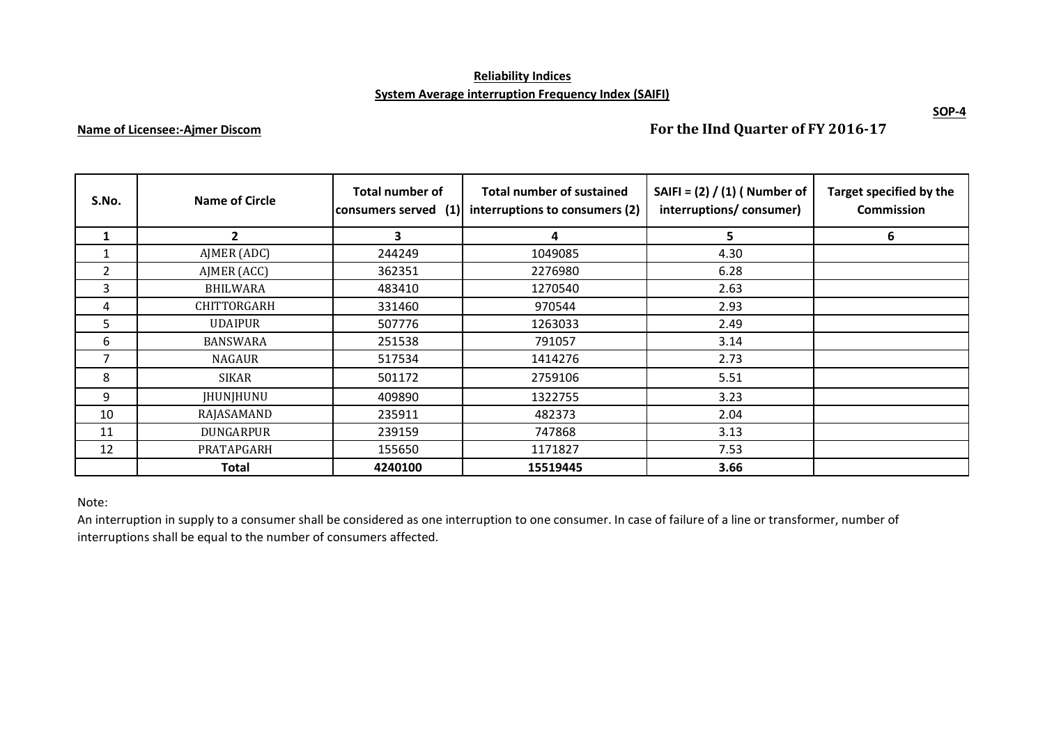# **Reliability Indices System Average interruption Frequency Index (SAIFI)**

## **Name of Licensee:-Ajmer Discom**

**For the IInd Quarter of FY 2016-17**

| S.No.        | Name of Circle     | <b>Total number of</b><br>consumers served (1) | <b>Total number of sustained</b><br>interruptions to consumers (2) | SAIFI = $(2) / (1)$ ( Number of<br>interruptions/consumer) | Target specified by the<br><b>Commission</b> |
|--------------|--------------------|------------------------------------------------|--------------------------------------------------------------------|------------------------------------------------------------|----------------------------------------------|
| $\mathbf{1}$ | $\overline{2}$     | 3                                              | 4                                                                  | 5                                                          | 6                                            |
|              | AJMER (ADC)        | 244249                                         | 1049085                                                            | 4.30                                                       |                                              |
| 2            | AJMER (ACC)        | 362351                                         | 2276980                                                            | 6.28                                                       |                                              |
| 3            | <b>BHILWARA</b>    | 483410                                         | 1270540                                                            | 2.63                                                       |                                              |
| 4            | <b>CHITTORGARH</b> | 331460                                         | 970544                                                             | 2.93                                                       |                                              |
| 5.           | <b>UDAIPUR</b>     | 507776                                         | 1263033                                                            | 2.49                                                       |                                              |
| 6            | <b>BANSWARA</b>    | 251538                                         | 791057                                                             | 3.14                                                       |                                              |
| 7            | NAGAUR             | 517534                                         | 1414276                                                            | 2.73                                                       |                                              |
| 8            | SIKAR              | 501172                                         | 2759106                                                            | 5.51                                                       |                                              |
| 9            | JHUNJHUNU          | 409890                                         | 1322755                                                            | 3.23                                                       |                                              |
| 10           | RAJASAMAND         | 235911                                         | 482373                                                             | 2.04                                                       |                                              |
| 11           | <b>DUNGARPUR</b>   | 239159                                         | 747868                                                             | 3.13                                                       |                                              |
| 12           | PRATAPGARH         | 155650                                         | 1171827                                                            | 7.53                                                       |                                              |
|              | <b>Total</b>       | 4240100                                        | 15519445                                                           | 3.66                                                       |                                              |

## Note:

An interruption in supply to a consumer shall be considered as one interruption to one consumer. In case of failure of a line or transformer, number of interruptions shall be equal to the number of consumers affected.

**SOP-4**